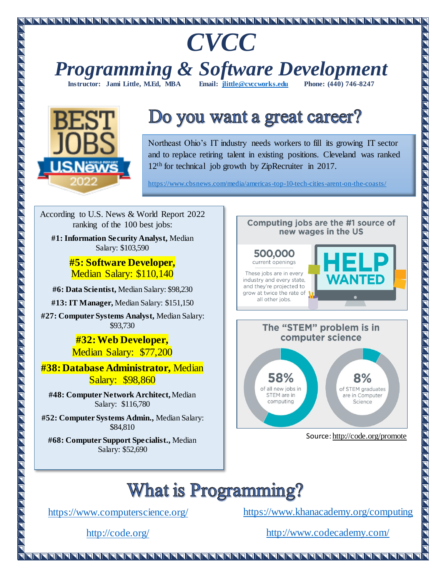# *CVCC*

*Programming & Software Development* **Instructor: Jami Little, M.Ed. MBA** 



# Do you want a great career?

Northeast Ohio's IT industry needs workers to fill its growing IT sector and to replace retiring talent in existing positions. Cleveland was ranked 12<sup>th</sup> for technical job growth by ZipRecruiter in 2017.

https://www.cbsnews.com/media/americas-top-10-tech-cities-arent-on-the-coasts/

all other jobs.

According to U.S. News & World Report 2022 ranking of the 100 best jobs:

**#1: Information Security Analyst,** Median Salary: \$103,590

> **#5: Software Developer,**  Median Salary: \$110,140

**#6: Data Scientist,** Median Salary: \$98,230

**#13: IT Manager,** Median Salary: \$151,150

**#27: Computer Systems Analyst,** Median Salary: \$93,730

> **#32: Web Developer,**  Median Salary: \$77,200

**#38: Database Administrator,** Median Salary: \$98,860

**#48: Computer Network Architect,** Median Salary: \$116,780

**#52: Computer Systems Admin.,** Median Salary: \$84,810

**#68: Computer Support Specialist.,** Median Salary: \$52,690



IFFFFFFFFFFFFF



Computing jobs are the #1 source of

# **What is Programming?**

<https://www.computerscience.org/>

<https://www.khanacademy.org/computing>

<http://code.org/>

<http://www.codecademy.com/>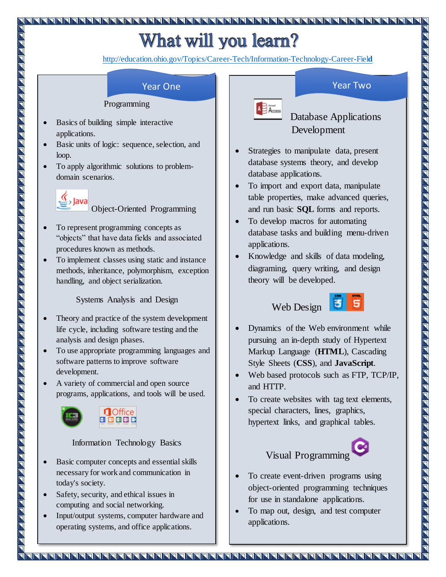# What will you learn?

[http://education.ohio.gov/Topics/Career-Tech/Information-Technology-Career-Fiel](http://education.ohio.gov/Topics/Career-Tech/Information-Technology-Career-Field)**d**

A **B** Access

#### Programming

- Basics of building simple interactive applications.
- Basic units of logic: sequence, selection, and loop.
- To apply algorithmic solutions to problemdomain scenarios.



Object-Oriented Programming

- To represent programming concepts as "objects" that have data fields and associated procedures known as methods.
- To implement classes using static and instance methods, inheritance, polymorphism, exception handling, and object serialization.

Systems Analysis and Design

- Theory and practice of the system development life cycle, including software testing and the analysis and design phases.
- To use appropriate programming languages and software patterns to improve software development.
- A variety of commercial and open source programs, applications, and tools will be used.



#### Information Technology Basics

- Basic computer concepts and essential skills necessary for work and communication in today's society.
- Safety, security, and ethical issues in computing and social networking.
- Input/output systems, computer hardware and operating systems, and office applications.

#### **Year One Year Two**

 Database Applications Development

- Strategies to manipulate data, present database systems theory, and develop database applications.
- To import and export data, manipulate table properties, make advanced queries, and run basic **SQL** forms and reports.
- To develop macros for automating database tasks and building menu-driven applications.
- Knowledge and skills of data modeling, diagraming, query writing, and design theory will be developed.

## Web Design



- Dynamics of the Web environment while pursuing an in-depth study of Hypertext Markup Language (**HTML**), Cascading Style Sheets (**CSS**), and **JavaScript**.
- Web based protocols such as FTP, TCP/IP, and HTTP.
- To create websites with tag text elements, special characters, lines, graphics, hypertext links, and graphical tables.



#### To create event-driven programs using object-oriented programming techniques for use in standalone applications.

• To map out, design, and test computer applications.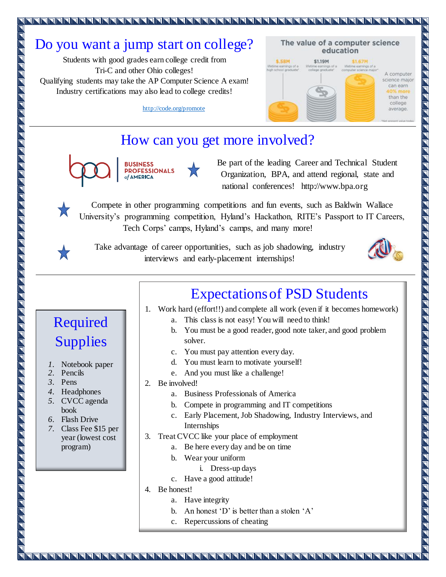## Do you want a jump start on college?

Students with good grades earn college credit from Tri-C and other Ohio colleges! Qualifying students may take the AP Computer Science A exam! Industry certifications may also lead to college credits!

The value of a computer science education **S.58M** \$1.19M **\$1.67M** mings of a A computer science major can earn than the college average.

<http://code.org/promote>

### How can you get more involved?



**BUSINESS PROFESSIONALS** of **AMERICA** 

Be part of the leading Career and Technical Student Organization, BPA, and attend regional, state and national conferences! http://www.bpa.org

Compete in other programming competitions and fun events, such as Baldwin Wallace University's programming competition, Hyland's Hackathon, RITE's Passport to IT Careers, Tech Corps' camps, Hyland's camps, and many more!



Required

Supplies

*1.* Notebook paper

*7.* Class Fee \$15 per year (lowest cost

program)

*4.* Headphones *5.* CVCC agenda book *6.* Flash Drive

*2.* Pencils *3.* Pens

Take advantage of career opportunities, such as job shadowing, industry interviews and early-placement internships!



**TEFFETE** 

## Expectations of PSD Students

- 1. Work hard (effort!!) and complete all work (even if it becomes homework)
	- a. This class is not easy! You will need to think!
	- b. You must be a good reader, good note taker, and good problem solver.
	- c. You must pay attention every day.
	- d. You must learn to motivate yourself!
	- e. And you must like a challenge!
- 2. Be involved!
	- a. Business Professionals of America
	- b. Compete in programming and IT competitions
	- c. Early Placement, Job Shadowing, Industry Interviews, and Internships
- 3. Treat CVCC like your place of employment
	- a. Be here every day and be on time
	- b. Wear your uniform
		- i. Dress-up days
	- c. Have a good attitude!
- 4. Be honest!
	- a. Have integrity
		- b. An honest 'D' is better than a stolen 'A'
		- c. Repercussions of cheating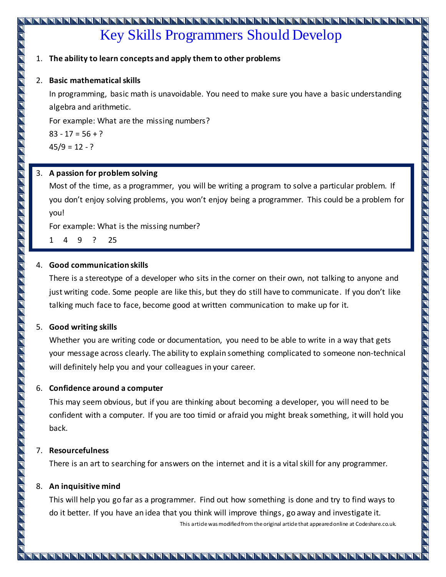# Key Skills Programmers Should Develop

#### 1. **The ability to learn concepts and apply them to other problems**

#### 2. **Basic mathematical skills**

In programming, basic math is unavoidable. You need to make sure you have a basic understanding algebra and arithmetic.

For example: What are the missing numbers?

 $83 - 17 = 56 + ?$  $45/9 = 12 - ?$ 

#### 3. **A passion for problem solving**

Most of the time, as a programmer, you will be writing a program to solve a particular problem. If you don't enjoy solving problems, you won't enjoy being a programmer. This could be a problem for you!

For example: What is the missing number?

1 4 9 ? 25

#### 4. **Good communication skills**

There is a stereotype of a developer who sits in the corner on their own, not talking to anyone and just writing code. Some people are like this, but they do still have to communicate. If you don't like talking much face to face, become good at written communication to make up for it.

#### 5. **Good writing skills**

Whether you are writing code or documentation, you need to be able to write in a way that gets your message across clearly. The ability to explain something complicated to someone non-technical will definitely help you and your colleagues in your career.

#### 6. **Confidence around a computer**

This may seem obvious, but if you are thinking about becoming a developer, you will need to be confident with a computer. If you are too timid or afraid you might break something, it will hold you back.

#### 7. **Resourcefulness**

There is an art to searching for answers on the internet and it is a vital skill for any programmer.

#### 8. **An inquisitive mind**

This will help you go far as a programmer. Find out how something is done and try to find ways to do it better. If you have an idea that you think will improve things, go away and investigate it. This article was modified from the original article that appeared online at Codeshare.co.uk.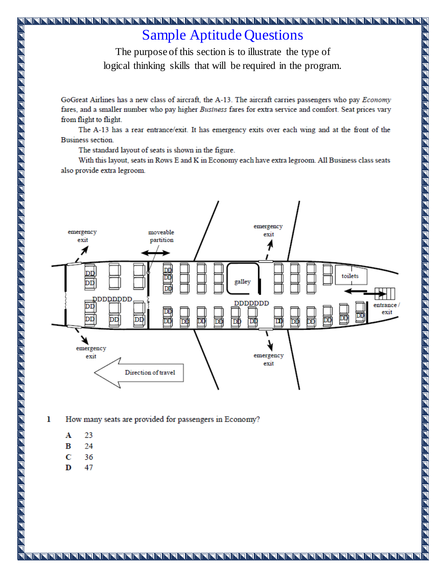## **Sample Aptitude Questions**

The purpose of this section is to illustrate the type of logical thinking skills that will be required in the program.

GoGreat Airlines has a new class of aircraft, the A-13. The aircraft carries passengers who pay *Economy* fares, and a smaller number who pay higher Business fares for extra service and comfort. Seat prices vary from flight to flight.

The A-13 has a rear entrance/exit. It has emergency exits over each wing and at the front of the **Business section.** 

The standard layout of seats is shown in the figure.

With this layout, seats in Rows E and K in Economy each have extra legroom. All Business class seats also provide extra legroom.



 $\mathbf{I}$ How many seats are provided for passengers in Economy?

A 23

N PERFERENT A FERIAL EN 1920 EL LA FERENTA A FERIAL EL LA FERIA EL LA FERIA A FERIA EL LA FERIA EL LA FERIA EL LA FERIA EL LA FERIA EL LA FERIA EL LA FERIA EL LA FERIA EL LA FERIA EL LA FERIA EL LA FERIA EL LA FERIA EL LA

- 24 B
- Ċ 36
- D 47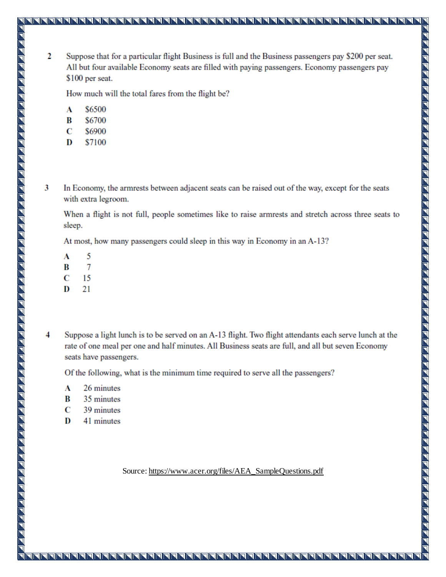$\overline{2}$ Suppose that for a particular flight Business is full and the Business passengers pay \$200 per seat. All but four available Economy seats are filled with paying passengers. Economy passengers pay \$100 per seat.

TNNN

How much will the total fares from the flight be?

- A \$6500
- \$6700 B
- C \$6900
- D \$7100
- 3 In Economy, the armrests between adjacent seats can be raised out of the way, except for the seats with extra legroom.

When a flight is not full, people sometimes like to raise armrests and stretch across three seats to sleep.

At most, how many passengers could sleep in this way in Economy in an A-13?

- 5 A
- 7 B
- C 15

- D 21
- 4 Suppose a light lunch is to be served on an A-13 flight. Two flight attendants each serve lunch at the rate of one meal per one and half minutes. All Business seats are full, and all but seven Economy seats have passengers.

Of the following, what is the minimum time required to serve all the passengers?

- A 26 minutes
- B 35 minutes
- C 39 minutes
- D 41 minutes

Source: https://www.acer.org/files/AEA\_SampleQuestions.pdf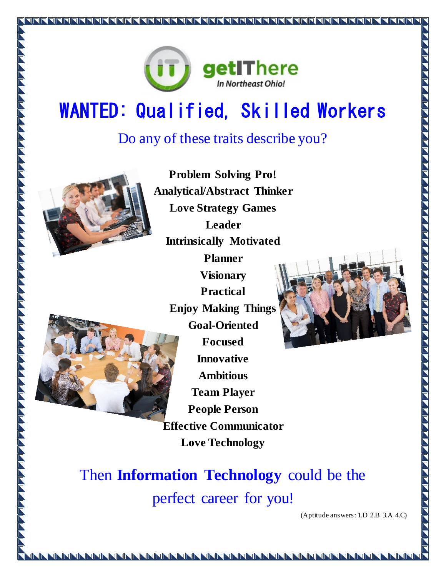

# WANTED: Qualified, Skilled Workers

## Do any of these traits describe you?



**Problem Solving Pro! Analytical/Abstract Thinker Love Strategy Games Leader Intrinsically Motivated Planner Visionary Practical Enjoy Making Things Goal-Oriented Focused Innovative Ambitious Team Player People Person Effective Communicator Love Technology**



<u> 1 F F F F F F F F F F F F</u>

Then **Information Technology** could be the perfect career for you!

(Aptitude answers: 1.D 2.B 3.A 4.C)